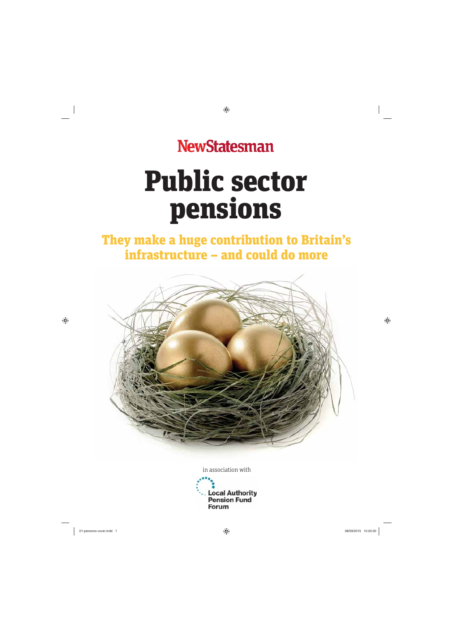# **NewStatesman**

# Public sector pensions

# They make a huge contribution to Britain's infrastructure – and could do more



in association with

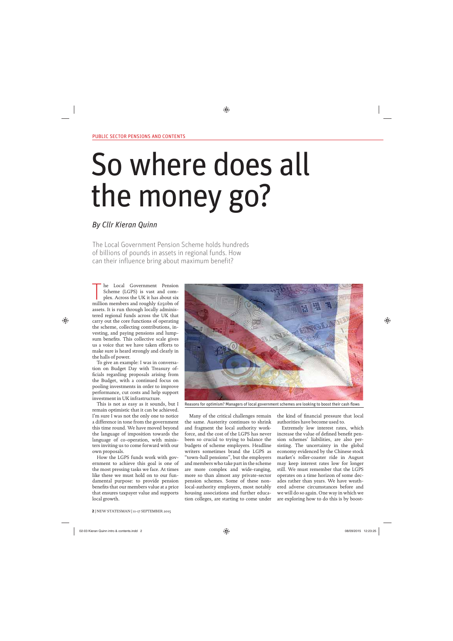# So where does all the money go?

## By Cllr Kieran Quinn

The Local Government Pension Scheme holds hundreds of billions of pounds in assets in regional funds. How can their influence bring about maximum benefit?

The Local Government Pension<br>
Scheme (LGPS) is vast and com-<br>
plex. Across the UK it has about six<br>
million members and roughly £250bn of he Local Government Pension Scheme (LGPS) is vast and complex. Across the UK it has about six assets. It is run through locally administered regional funds across the UK that carry out the core functions of operating the scheme, collecting contributions, investing, and paying pensions and lumpsum benefits. This collective scale gives us a voice that we have taken efforts to make sure is heard strongly and clearly in the halls of power.

To give an example: I was in conversation on Budget Day with Treasury officials regarding proposals arising from the Budget, with a continued focus on pooling investments in order to improve performance, cut costs and help support investment in UK infrastructure.

This is not as easy as it sounds, but I remain optimistic that it can be achieved. I'm sure I was not the only one to notice a difference in tone from the government this time round. We have moved beyond the language of imposition towards the language of co-operation, with ministers inviting us to come forward with our own proposals.

How the LGPS funds work with government to achieve this goal is one of the most pressing tasks we face. At times like these we must hold on to our fundamental purpose: to provide pension benefits that our members value at a price that ensures taxpayer value and supports local growth.



Reasons for optimism? Managers of local government schemes are looking to boost their cash flows

Many of the critical challenges remain the same. Austerity continues to shrink and fragment the local authority workforce, and the cost of the LGPS has never been so crucial to trying to balance the budgets of scheme employers. Headline writers sometimes brand the LGPS as "town-hall pensions", but the employers and members who take part in the scheme are more complex and wide-ranging, more so than almost any private-sector pension schemes. Some of these nonlocal-authority employers, most notably housing associations and further education colleges, are starting to come under

the kind of financial pressure that local authorities have become used to.

Extremely low interest rates, which increase the value of defined benefit pension schemes' liabilities, are also persisting. The uncertainty in the global economy evidenced by the Chinese stock market's roller-coaster ride in August may keep interest rates low for longer still. We must remember that the LGPS operates on a time horizon of some decades rather than years. We have weathered adverse circumstances before and we will do so again. One way in which we are exploring how to do this is by boost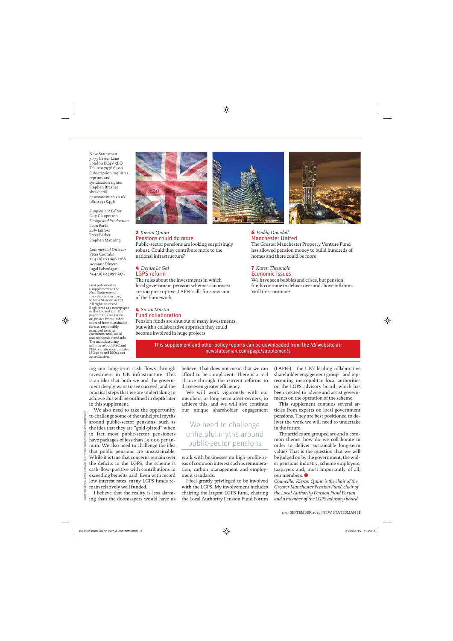New Statesman 71-73 Carter Lane London EC<sub>4</sub>V 5EQ Tel 020 7936 6400 Subscription inquiries, reprints and syndication rights: Stephen Brasher sbrasher@ newstatesman.co.uk 0800 731 8496

*Supplement Editor* Guy Clapperton *Design and Production* Leon Parks *Sub-Editors* Peter Barker Stephen Manning

*Commercial Director* Peter Coombs +44 (0)20 3096 2268 *Account Director* Jugal Lalsodagar +44 (0)20 3096 2271

First published as a supplement to the *New Statesman* of 11-17 September 2015. © New Statesman Ltd. All rights reserved. Registered as a newspaper in the UK and US. The paper in this magazine originates from timber sourced from sustainable forests, responsibly managed to strict environmental, social and economic standards. The manufacturing mills have both FSC and PEFC certification and also ISO9001 and ISO14001 accreditation.



#### 2 *Kieran Quinn* Pensions could do more

Public-sector pensions are looking surprisingly robust. Could they contribute more to the national infrastructure?

### 4 *Denise Le Gal* LGPS reform

The rules about the investments in which local government pension schemes can invest are too prescriptive. LAPFF calls for a revision of the framework

#### 4 *Susan Martin* Fund collaboration

Pension funds are shut out of many investments, but with a collaborative approach they could become involved in huge projects





#### 6 *Paddy Dowdall* Manchester United

The Greater Manchester Property Venture Fund has allowed pension money to build hundreds of homes and there could be more

### 7 *Karen Thrumble* Economic issues

We have seen bubbles and crises, but pension funds continue to deliver over and above inflation. Will this continue?

This supplement and other policy reports can be downloaded from the NS website at: newstatesman.com/page/supplements

ing our long-term cash flows through investment in UK infrastructure. This is an idea that both we and the government deeply want to see succeed, and the practical steps that we are undertaking to achieve this will be outlined in depth later in this supplement.

We also need to take the opportunity to challenge some of the unhelpful myths around public-sector pensions, such as the idea that they are "gold-plated" when in fact most public-sector pensioners have packages of less than £5,000 per annum. We also need to challenge the idea that public pensions are unsustainable. While it is true that concerns remain over the deficits in the LGPS, the scheme is cash-flow-positive with contributions in exceeding benefits paid. Even with record low interest rates, many LGPS funds remain relatively well funded.

I believe that the reality is less alarming than the doomsayers would have us believe. That does not mean that we can afford to be complacent. There is a real chance through the current reforms to drive even greater efficiency.

We will work vigorously with our members, as long-term asset-owners, to achieve this, and we will also continue our unique shareholder engagement

## We need to challenge unhelpful myths around public-sector pensions

work with businesses on high-profile areas of common interest such as remuneration, carbon management and employment standards.

I feel greatly privileged to be involved with the LGPS. My involvement includes chairing the largest LGPS fund, chairing the Local Authority Pension Fund Forum (LAPFF) – the UK's leading collaborative shareholder engagement group – and representing metropolitan local authorities on the LGPS advisory board, which has been created to advise and assist governments on the operation of the scheme.

This supplement contains several articles from experts on local government pensions. They are best positioned to deliver the work we will need to undertake in the future.

The articles are grouped around a common theme: how do we collaborate in order to deliver sustainable long-term value? That is the question that we will be judged on by the government, the wider pensions industry, scheme employers, taxpayers and, most importantly of all, our members.

*Councillor Kieran Quinn is the chair of the Greater Manchester Pension Fund, chair of the Local Authority Pension Fund Forum and a member of the LGPS advisory board*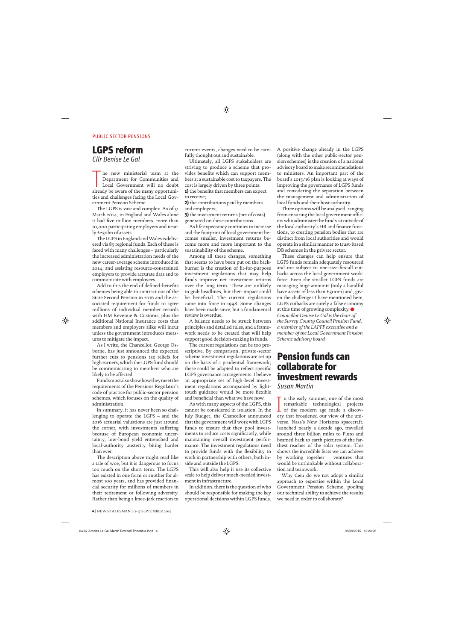## LGPS reform

Cllr Denise Le Gal

The new ministerial team at the Department for Communities and Local Government will no doubt already be aware of the many opportunihe new ministerial team at the Department for Communities and Local Government will no doubt ties and challenges facing the Local Government Pension Scheme.

The LGPS is vast and complex. As of 31 March 2014, in England and Wales alone it had five million members, more than 10,000 participating employers and nearly £250bn of assets.

The LGPS in England and Wales is delivered via 89 regional funds. Each of these is faced with many challenges – particularly the increased administration needs of the new career-average scheme introduced in 2014, and assisting resource-constrained employers to provide accurate data and to communicate with employees.

Add to this the end of defined-benefits schemes being able to contract out of the State Second Pension in 2016 and the associated requirement for funds to agree millions of individual member records with HM Revenue & Customs, plus the additional National Insurance costs that members and employers alike will incur unless the government introduces measures to mitigate the impact.

As I write, the Chancellor, George Osborne, has just announced the expected further cuts to pensions tax reliefs for high earners, which the LGPS fund should be communicating to members who are likely to be affected.

Funds must also show how they meet the requirements of the Pensions Regulator's code of practice for public-sector pension schemes, which focuses on the quality of administration.

In summary, it has never been so challenging to operate the LGPS – and the 2016 actuarial valuations are just around the corner, with investments suffering because of European economic uncertainty, low-bond yield entrenched and local-authority austerity biting harder than ever.

The description above might read like a tale of woe, but it is dangerous to focus too much on the short term. The LGPS has existed in one form or another for almost 100 years, and has provided financial security for millions of members in their retirement or following adversity. Rather than being a knee-jerk reaction to

current events, changes need to be carefully thought out and sustainable.

Ultimately, all LGPS stakeholders are striving to produce a scheme that provides benefits which can support members at a sustainable cost to taxpayers. The cost is largely driven by three points: 1) the benefits that members can expect to receive;

2) the contributions paid by members and employers;

3) the investment returns (net of costs) generated on these contributions.

As life expectancy continues to increase and the footprint of local government becomes smaller, investment returns become more and more important to the sustainability of the scheme.

Among all these changes, something that seems to have been put on the backburner is the creation of fit-for-purpose investment regulations that may help funds improve net investment returns over the long term. These are unlikely to grab headlines, but their impact could be beneficial. The current regulations came into force in 1998. Some changes have been made since, but a fundamental review is overdue.

A balance needs to be struck between principles and detailed rules, and a framework needs to be created that will help support good decision-making in funds.

The current regulations can be too prescriptive. By comparison, private-sector scheme investment regulations are set up on the basis of a prudential framework; these could be adapted to reflect specific LGPS governance arrangements. I believe an appropriate set of high-level investment regulations accompanied by lighttouch guidance would be more flexible and beneficial than what we have now.

As with many aspects of the LGPS, this cannot be considered in isolation. In the July Budget, the Chancellor announced that the government will work with LGPS funds to ensure that they pool investments to reduce costs significantly, while maintaining overall investment performance. The investment regulations need to provide funds with the flexibility to work in partnership with others, both inside and outside the LGPS.

This will also help it use its collective scale to help deliver much-needed investment in infrastructure.

In addition, there is the question of who should be responsible for making the key operational decisions within LGPS funds.

A positive change already in the LGPS (along with the other public-sector pension schemes) is the creation of a national advisory board to make recommendations to ministers. An important part of the board's 2015/16 plan is looking at ways of improving the governance of LGPS funds and considering the separation between the management and administration of local funds and their host authority.

Three options will be analysed, ranging from ensuring the local government officers who administer the funds sit outside of the local authority's HR and finance functions, to creating pension bodies that are distinct from local authorities and would operate in a similar manner to trust-based DB schemes in the private sector.

These changes can help ensure that LGPS funds remain adequately resourced and not subject to one-size-fits-all cutbacks across the local government workforce. Even the smaller LGPS funds are managing huge amounts (only a handful have assets of less than £500m) and, given the challenges I have mentioned here, LGPS cutbacks are surely a false economy at this time of growing complexity.  $\bullet$ *Councillor Denise Le Gal is the chair of the Surrey County Council Pension Fund, a member of the LAPFF executive and a member of the Local Government Pension Scheme advisory board*

## Pension funds can collaborate for investment rewards

Susan Martin

In the early summer, one of the most<br>remarkable technological projects<br>of the modern age made a discov-<br>ary that broadened our view of the uni- $\blacksquare$  n the early summer, one of the most remarkable technological projects ery that broadened our view of the universe. Nasa's New Horizons spacecraft, launched nearly a decade ago, travelled around three billion miles to Pluto and beamed back to earth pictures of the farthest reaches of the solar system. This shows the incredible feats we can achieve by working together – ventures that would be unthinkable without collaboration and teamwork.

Why then do we not adopt a similar approach to expertise within the Local Government Pension Scheme, pooling our technical ability to achieve the results we need in order to collaborate?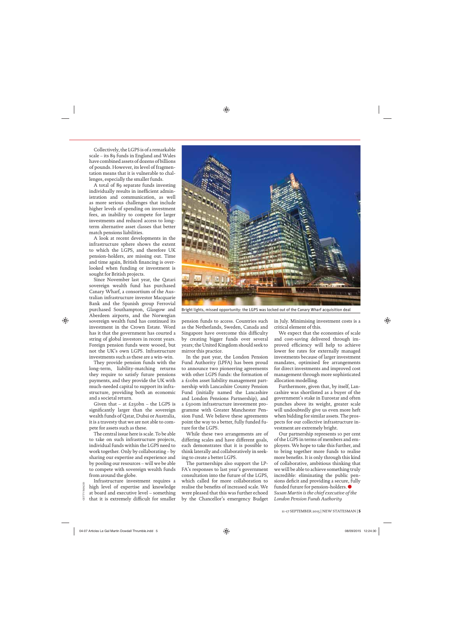Collectively, the LGPS is of a remarkable scale – its 89 funds in England and Wales have combined assets of dozens of billions of pounds. However, its level of fragmentation means that it is vulnerable to challenges, especially the smaller funds.

A total of 89 separate funds investing individually results in inefficient administration and communication, as well as more serious challenges that include higher levels of spending on investment fees, an inability to compete for larger investments and reduced access to longterm alternative asset classes that better match pensions liabilities.

A look at recent developments in the infrastructure sphere shows the extent to which the LGPS, and therefore UK pension-holders, are missing out. Time and time again, British financing is overlooked when funding or investment is sought for British projects.

Since November last year, the Qatari sovereign wealth fund has purchased Canary Wharf, a consortium of the Australian infrastructure investor Macquarie Bank and the Spanish group Ferrovial purchased Southampton, Glasgow and Aberdeen airports, and the Norwegian sovereign wealth fund has continued its investment in the Crown Estate. Word has it that the government has courted a string of global investors in recent years. Foreign pension funds were wooed, but not the UK's own LGPS. Infrastructure investments such as these are a win-win.

They provide pension funds with the long-term, liability-matching returns they require to satisfy future pensions payments, and they provide the UK with much-needed capital to support its infrastructure, providing both an economic and a societal return.

Given that – at £250bn – the LGPS is significantly larger than the sovereign wealth funds of Qatar, Dubai or Australia, it is a travesty that we are not able to compete for assets such as these.

The central issue here is scale. To be able to take on such infrastructure projects, individual funds within the LGPS need to work together. Only by collaborating – by sharing our expertise and experience and by pooling our resources – will we be able to compete with sovereign wealth funds from around the globe.

Infrastructure investment requires a high level of expertise and knowledge at board and executive level – something that it is extremely difficult for smaller

GETTY IMAGES



Bright lights, missed opportunity: the LGPS was locked out of the Canary Wharf acquisition deal

pension funds to access. Countries such as the Netherlands, Sweden, Canada and Singapore have overcome this difficulty by creating bigger funds over several years; the United Kingdom should seek to mirror this practice.

In the past year, the London Pension Fund Authority (LPFA) has been proud to announce two pioneering agreements with other LGPS funds: the formation of a £10bn asset liability management partnership with Lancashire County Pension Fund (initially named the Lancashire and London Pensions Partnership), and a £500m infrastructure investment programme with Greater Manchester Pension Fund. We believe these agreements point the way to a better, fully funded future for the LGPS.

While these two arrangements are of differing scales and have different goals, each demonstrates that it is possible to think laterally and collaboratively in seeking to create a better LGPS.

The partnerships also support the LP-FA's responses to last year's government consultation into the future of the LGPS, which called for more collaboration to realise the benefits of increased scale. We were pleased that this was further echoed by the Chancellor's emergency Budget in July. Minimising investment costs is a critical element of this.

We expect that the economies of scale and cost-saving delivered through improved efficiency will help to achieve lower fee rates for externally managed investments because of larger investment mandates, optimised fee arrangements for direct investments and improved cost management through more sophisticated allocation modelling.

Furthermore, given that, by itself, Lancashire was shortlisted as a buyer of the government's stake in Eurostar and often punches above its weight, greater scale will undoubtedly give us even more heft when bidding for similar assets. The prospects for our collective infrastructure investment are extremely bright.

Our partnership represents 10 per cent of the LGPS in terms of members and employers. We hope to take this further, and to bring together more funds to realise more benefits. It is only through this kind of collaborative, ambitious thinking that we will be able to achieve something truly incredible: eliminating the public pensions deficit and providing a secure, fully funded future for pension-holders.  $\bullet$ *Susan Martin is the chief executive of the London Pension Funds Authority*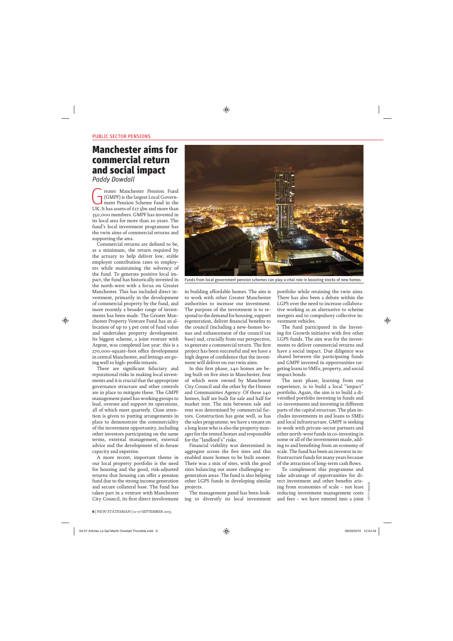## Manchester aims for commercial return and social impact

Paddy Dowdall

reater Manchester Pension Fund<br>(GMPF) is the largest Local Government<br>ment Pension Scheme fund in the<br>LIK It has assets of £17 chn and more than (GMPF) is the largest Local Government Pension Scheme fund in the UK. It has assets of £17.5bn and more than 350,000 members. GMPF has invested in its local area for more than 20 years. The fund's local investment programme has the twin aims of commercial returns and supporting the area.

Commercial returns are defined to be, as a minimum, the return required by the actuary to help deliver low, stable employer contribution rates to employers while maintaining the solvency of the fund. To generate positive local impact, the fund has historically invested in the north-west with a focus on Greater Manchester. This has included direct investment, primarily in the development of commercial property by the fund, and more recently a broader range of investments has been made. The Greater Manchester Property Venture Fund has an allocation of up to 3 per cent of fund value and undertakes property development. Its biggest scheme, a joint venture with Argent, was completed last year: this is a 270,000-square-foot office development in central Manchester, and lettings are going well to high-profile tenants.

There are significant fiduciary and reputational risks in making local investments and it is crucial that the appropriate governance structure and other controls are in place to mitigate these. The GMPF management panel has working groups to lead, oversee and support its operations, all of which meet quarterly. Close attention is given to putting arrangements in place to demonstrate the commerciality of the investment opportunity, including other investors participating on the same terms, external management, external advice and the development of in-house capacity and expertise.

A more recent, important theme in our local property portfolio is the need for housing and the good, risk-adjusted returns that housing can offer a pension fund due to the strong income generation and secure collateral base. The fund has taken part in a venture with Manchester City Council, its first direct involvement



Funds from local government pension schemes can play a vital role in boosting stocks of new homes

in building affordable homes. The aim is to work with other Greater Manchester authorities to increase our investment. The purpose of the investment is to respond to the demand for housing, support regeneration, deliver financial benefits to the council (including a new-homes bonus and enhancement of the council tax base) and, crucially from our perspective, to generate a commercial return. The first project has been successful and we have a high degree of confidence that the investment will deliver on our twin aims.

In this first phase, 240 homes are being built on five sites in Manchester, four of which were owned by Manchester City Council and the other by the Homes and Communities Agency. Of these 240 homes, half are built for sale and half for market rent. The mix between sale and rent was determined by commercial factors. Construction has gone well, as has the sales programme; we have a tenant on a long lease who is also the property manager for the rented homes and responsible for the "landlord's" risks.

Financial viability was determined in aggregate across the five sites and this enabled more homes to be built sooner. There was a mix of sites, with the good sites balancing out more challenging regeneration areas. The fund is also helping other LGPS funds in developing similar projects.

The management panel has been looking to diversify its local investment portfolio while retaining the twin aims. There has also been a debate within the LGPS over the need to increase collaborative working as an alternative to scheme mergers and to compulsory collective investment vehicles.

The fund participated in the Investing for Growth initiative with five other LGPS funds. The aim was for the investments to deliver commercial returns and have a social impact. Due diligence was shared between the participating funds and GMPF invested in opportunities targeting loans to SMEs, property, and social impact bonds.

The next phase, learning from our experience, is to build a local "impact" portfolio. Again, the aim is to build a diversified portfolio investing in funds and co-investments and investing in different parts of the capital structure. The plan includes investments in and loans to SMEs and local infrastructure. GMPF is seeking to work with private-sector partners and other north-west funds in co-investing in some or all of the investments made, adding to and benefiting from an economy of scale. The fund has been an investor in infrastructure funds for many years because of the attraction of long-term cash flows.

To complement this programme and take advantage of opportunities for direct investment and other benefits arising from economies of scale – not least reducing investment management costs and fees – we have entered into a joint  $\frac{5}{9}$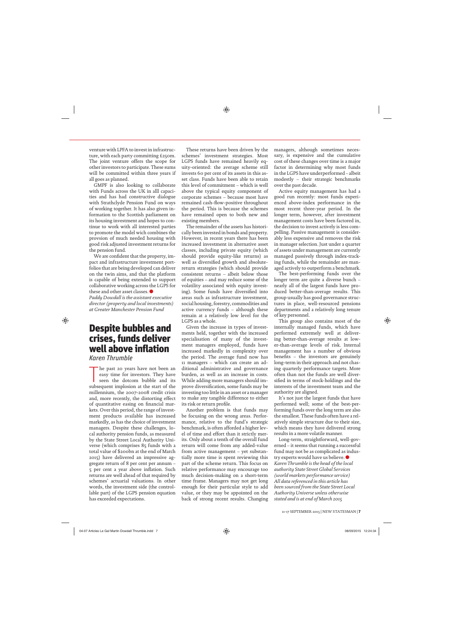venture with LPFA to invest in infrastructure, with each party committing £250m. The joint venture offers the scope for other investors to participate. These sums will be committed within three years if all goes as planned.

GMPF is also looking to collaborate with Funds across the UK in alll capacities and has had constructive dialogue with Strathclyde Pension Fund on ways of working together. It has also given information to the Scottish parliament on its housing investment and hopes to continue to work with all interested parties to promote the model wich combines the provsion of much needed housing with good risk adjusted investment returns for the pension fund.

We are confident that the property, impact and infrastructure investment portfolios that are being developed can deliver on the twin aims, and that the platform is capable of being extended to support collaborative working across the LGPS for these and other asset classes. *Paddy Dowdall is the assistant executive* 

*director (property and local investments) at Greater Manchester Pension Fund*

## Despite bubbles and crises, funds deliver well above inflation

Karen Thrumble

The past 20 years have not been an easy time for investors. They have seen the dotcom bubble and its subsequent implosion at the start of the he past 20 years have not been an easy time for investors. They have seen the dotcom bubble and its millennium, the 2007-2008 credit crisis and, more recently, the distorting effect of quantitative easing on financial markets. Over this period, the range of investment products available has increased markedly, as has the choice of investment managers. Despite these challenges, local authority pension funds, as measured by the State Street Local Authority Universe (which comprises 85 funds with a total value of \$200bn at the end of March 2015) have delivered an impressive aggregate return of 8 per cent per annum – 5 per cent a year above inflation. Such returns are well ahead of that required by schemes' actuarial valuations. In other words, the investment side (the controllable part) of the LGPS pension equation has exceeded expectations.

These returns have been driven by the schemes' investment strategies. Most LGPS funds have remained heavily equity-oriented: the average scheme still invests 60 per cent of its assets in this asset class. Funds have been able to retain this level of commitment – which is well above the typical equity component of corporate schemes – because most have remained cash-flow-positive throughout the period. This is because the schemes have remained open to both new and existing members.

The remainder of the assets has historically been invested in bonds and property. However, in recent years there has been increased investment in alternative asset classes, including private equity (which should provide equity-like returns) as well as diversified growth and absolutereturn strategies (which should provide consistent returns – albeit below those of equities – and may reduce some of the volatility associated with equity investing). Some funds have diversified into areas such as infrastructure investment, social housing, forestry, commodities and active currency funds – although these remain at a relatively low level for the LGPS as a whole.

Given the increase in types of investments held, together with the increased specialisation of many of the investment managers employed, funds have increased markedly in complexity over the period. The average fund now has 11 managers – which can create an additional administrative and governance burden, as well as an increase in costs. While adding more managers should improve diversification, some funds may be investing too little in an asset or a manager to make any tangible difference to either its risk or return profile.

Another problem is that funds may be focusing on the wrong areas. Performance, relative to the fund's strategic benchmark, is often afforded a higher level of time and effort than it strictly merits. Only about a tenth of the overall fund return will come from any added-value from active management – yet substantially more time is spent reviewing this part of the scheme return. This focus on relative performance may encourage too much decision-making on a short-term time frame. Managers may not get long enough for their particular style to add value, or they may be appointed on the back of strong recent results. Changing managers, although sometimes necessary, is expensive and the cumulative cost of these changes over time is a major factor in determining why most funds in the LGPS have underperformed – albeit modestly – their strategic benchmarks over the past decade.

Active equity management has had a good run recently: most funds experienced above-index performance in the most recent three-year period. In the longer term, however, after investment management costs have been factored in, the decision to invest actively is less compelling. Passive management is considerably less expensive and removes the risk in manager selection. Just under a quarter of assets under management are currently managed passively through index-tracking funds, while the remainder are managed actively to outperform a benchmark.

The best-performing funds over the longer term are quite a diverse bunch – nearly all of the largest funds have produced better-than-average results. This group usually has good governance structures in place, well-resourced pensions departments and a relatively long tenure of key personnel.

This group also contains most of the internally managed funds, which have performed extremely well at delivering better-than-average results at lower-than-average levels of risk. Internal management has a number of obvious benefits – the investors are genuinely long-term in their approach and not chasing quarterly performance targets. More often than not the funds are well diversified in terms of stock-holdings and the interests of the investment team and the authority are aligned.

It's not just the largest funds that have performed well; some of the best-performing funds over the long term are also the smallest. These funds often have a relatively simple structure due to their size, which means they have delivered strong results in a more volatile manner.

Long-term, straightforward, well-governed – it seems that running a successful fund may not be as complicated as industry experts would have us believe. *Karen Thrumble is the head of the local authority State Street Global Services (world markets performance service) All data referenced in this article has been sourced from the State Street Local Authority Universe unless otherwise stated and is at end of March 2015*